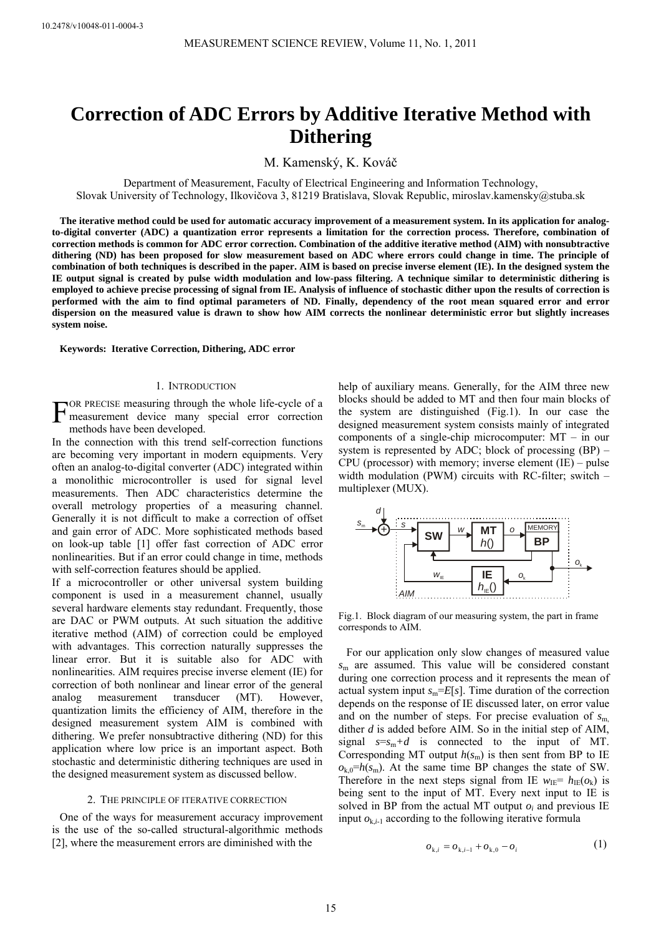# **Correction of ADC Errors by Additive Iterative Method with Dithering**

M. Kamenský, K. Kováč

Department of Measurement, Faculty of Electrical Engineering and Information Technology, Slovak University of Technology, Ilkovičova 3, 81219 Bratislava, Slovak Republic, miroslav.kamensky@stuba.sk

**The iterative method could be used for automatic accuracy improvement of a measurement system. In its application for analogto-digital converter (ADC) a quantization error represents a limitation for the correction process. Therefore, combination of correction methods is common for ADC error correction. Combination of the additive iterative method (AIM) with nonsubtractive dithering (ND) has been proposed for slow measurement based on ADC where errors could change in time. The principle of combination of both techniques is described in the paper. AIM is based on precise inverse element (IE). In the designed system the IE output signal is created by pulse width modulation and low-pass filtering. A technique similar to deterministic dithering is employed to achieve precise processing of signal from IE. Analysis of influence of stochastic dither upon the results of correction is performed with the aim to find optimal parameters of ND. Finally, dependency of the root mean squared error and error dispersion on the measured value is drawn to show how AIM corrects the nonlinear deterministic error but slightly increases system noise.** 

**Keywords: Iterative Correction, Dithering, ADC error** 

## 1. INTRODUCTION

OR PRECISE measuring through the whole life-cycle of a FOR PRECISE measuring through the whole life-cycle of a<br>measurement device many special error correction<br>methods have been developed methods have been developed.

In the connection with this trend self-correction functions are becoming very important in modern equipments. Very often an analog-to-digital converter (ADC) integrated within a monolithic microcontroller is used for signal level measurements. Then ADC characteristics determine the overall metrology properties of a measuring channel. Generally it is not difficult to make a correction of offset and gain error of ADC. More sophisticated methods based on look-up table [1] offer fast correction of ADC error nonlinearities. But if an error could change in time, methods with self-correction features should be applied.

If a microcontroller or other universal system building component is used in a measurement channel, usually several hardware elements stay redundant. Frequently, those are DAC or PWM outputs. At such situation the additive iterative method (AIM) of correction could be employed with advantages. This correction naturally suppresses the linear error. But it is suitable also for ADC with nonlinearities. AIM requires precise inverse element (IE) for correction of both nonlinear and linear error of the general analog measurement transducer (MT). However, quantization limits the efficiency of AIM, therefore in the designed measurement system AIM is combined with dithering. We prefer nonsubtractive dithering (ND) for this application where low price is an important aspect. Both stochastic and deterministic dithering techniques are used in the designed measurement system as discussed bellow.

#### 2. THE PRINCIPLE OF ITERATIVE CORRECTION

One of the ways for measurement accuracy improvement is the use of the so-called structural-algorithmic methods [2], where the measurement errors are diminished with the

help of auxiliary means. Generally, for the AIM three new blocks should be added to MT and then four main blocks of the system are distinguished (Fig.1). In our case the designed measurement system consists mainly of integrated components of a single-chip microcomputer: MT – in our system is represented by ADC; block of processing (BP) – CPU (processor) with memory; inverse element (IE) – pulse width modulation (PWM) circuits with RC-filter; switch – multiplexer (MUX).



Fig.1. Block diagram of our measuring system, the part in frame corresponds to AIM.

For our application only slow changes of measured value *s*m are assumed. This value will be considered constant during one correction process and it represents the mean of actual system input  $s_m = E[s]$ . Time duration of the correction depends on the response of IE discussed later, on error value and on the number of steps. For precise evaluation of  $s<sub>m</sub>$ dither *d* is added before AIM. So in the initial step of AIM, signal  $s=s_m+d$  is connected to the input of MT. Corresponding MT output  $h(s_m)$  is then sent from BP to IE  $o_{k,0}$ = $h(s_m)$ . At the same time BP changes the state of SW. Therefore in the next steps signal from IE  $w_{\text{IE}} = h_{\text{IE}}(o_k)$  is being sent to the input of MT. Every next input to IE is solved in BP from the actual MT output  $o_i$  and previous IE input  $o_{k,i-1}$  according to the following iterative formula

$$
o_{k,i} = o_{k,i-1} + o_{k,0} - o_i \tag{1}
$$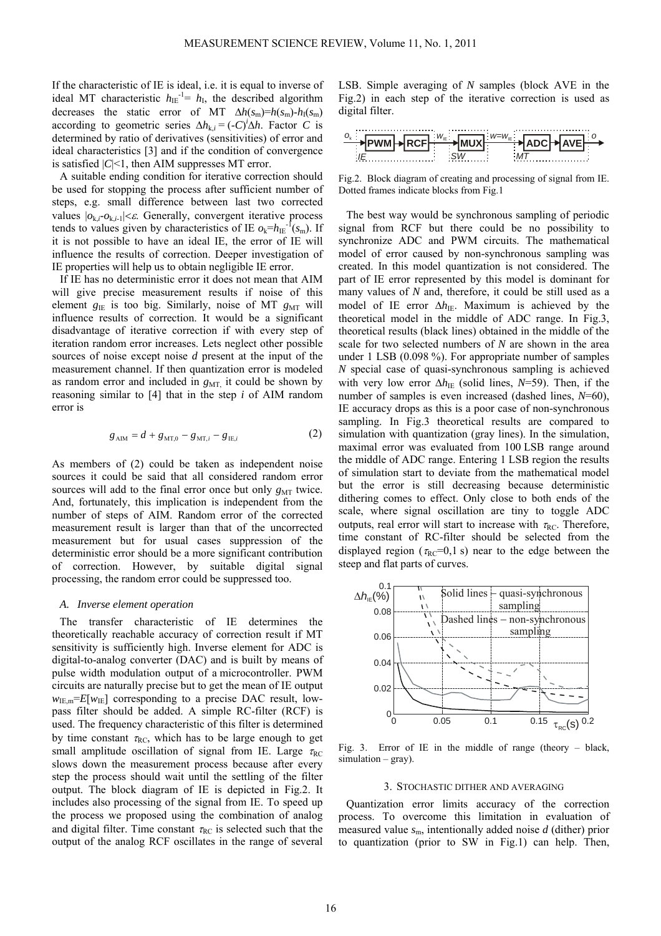If the characteristic of IE is ideal, i.e. it is equal to inverse of ideal MT characteristic  $h_{\text{IE}}^{-1} = h_{\text{I}}$ , the described algorithm decreases the static error of MT  $\Delta h(s_m)=h(s_m)-h_1(s_m)$ according to geometric series  $\Delta h_{k,i} = (-C)^i \Delta h$ . Factor *C* is determined by ratio of derivatives (sensitivities) of error and ideal characteristics [3] and if the condition of convergence is satisfied  $|C|$ <1, then AIM suppresses MT error.

A suitable ending condition for iterative correction should be used for stopping the process after sufficient number of steps, e.g. small difference between last two corrected values  $|o_{k,i}.o_{k,i-1}| < \varepsilon$ . Generally, convergent iterative process tends to values given by characteristics of IE  $o_k=h_{\text{IE}}^{-1}(s_m)$ . If it is not possible to have an ideal IE, the error of IE will influence the results of correction. Deeper investigation of IE properties will help us to obtain negligible IE error.

If IE has no deterministic error it does not mean that AIM will give precise measurement results if noise of this element  $g_{\text{IE}}$  is too big. Similarly, noise of MT  $g_{\text{MT}}$  will influence results of correction. It would be a significant disadvantage of iterative correction if with every step of iteration random error increases. Lets neglect other possible sources of noise except noise *d* present at the input of the measurement channel. If then quantization error is modeled as random error and included in  $g_{\text{MT}}$ , it could be shown by reasoning similar to [4] that in the step *i* of AIM random error is

$$
g_{\text{AIM}} = d + g_{\text{MT,0}} - g_{\text{MT,}i} - g_{\text{IE},i} \tag{2}
$$

As members of (2) could be taken as independent noise sources it could be said that all considered random error sources will add to the final error once but only  $g_{\text{MT}}$  twice. And, fortunately, this implication is independent from the number of steps of AIM. Random error of the corrected measurement result is larger than that of the uncorrected measurement but for usual cases suppression of the deterministic error should be a more significant contribution of correction. However, by suitable digital signal processing, the random error could be suppressed too.

## *A. Inverse element operation*

The transfer characteristic of IE determines the theoretically reachable accuracy of correction result if MT sensitivity is sufficiently high. Inverse element for ADC is digital-to-analog converter (DAC) and is built by means of pulse width modulation output of a microcontroller. PWM circuits are naturally precise but to get the mean of IE output  $w_{\text{IE,m}}=E[w_{\text{IE}}]$  corresponding to a precise DAC result, lowpass filter should be added. A simple RC-filter (RCF) is used. The frequency characteristic of this filter is determined by time constant  $\tau_{RC}$ , which has to be large enough to get small amplitude oscillation of signal from IE. Large  $\tau_{BC}$ slows down the measurement process because after every step the process should wait until the settling of the filter output. The block diagram of IE is depicted in Fig.2. It includes also processing of the signal from IE. To speed up the process we proposed using the combination of analog and digital filter. Time constant  $\tau_{RC}$  is selected such that the output of the analog RCF oscillates in the range of several LSB. Simple averaging of *N* samples (block AVE in the Fig.2) in each step of the iterative correction is used as digital filter.



Fig.2. Block diagram of creating and processing of signal from IE. Dotted frames indicate blocks from Fig.1

The best way would be synchronous sampling of periodic signal from RCF but there could be no possibility to synchronize ADC and PWM circuits. The mathematical model of error caused by non-synchronous sampling was created. In this model quantization is not considered. The part of IE error represented by this model is dominant for many values of *N* and, therefore, it could be still used as a model of IE error Δh<sub>IE</sub>. Maximum is achieved by the theoretical model in the middle of ADC range. In Fig.3, theoretical results (black lines) obtained in the middle of the scale for two selected numbers of *N* are shown in the area under 1 LSB (0.098 %). For appropriate number of samples *N* special case of quasi-synchronous sampling is achieved with very low error  $\Delta h_{\text{IE}}$  (solid lines, *N*=59). Then, if the number of samples is even increased (dashed lines, *N*=60), IE accuracy drops as this is a poor case of non-synchronous sampling. In Fig.3 theoretical results are compared to simulation with quantization (gray lines). In the simulation, maximal error was evaluated from 100 LSB range around the middle of ADC range. Entering 1 LSB region the results of simulation start to deviate from the mathematical model but the error is still decreasing because deterministic dithering comes to effect. Only close to both ends of the scale, where signal oscillation are tiny to toggle ADC outputs, real error will start to increase with  $\tau_{RC}$ . Therefore, time constant of RC-filter should be selected from the displayed region ( $\tau_{RC}$ =0,1 s) near to the edge between the steep and flat parts of curves.



Fig. 3. Error of IE in the middle of range (theory – black,  $simulation - gray)$ .

#### 3. STOCHASTIC DITHER AND AVERAGING

Quantization error limits accuracy of the correction process. To overcome this limitation in evaluation of measured value *s*m, intentionally added noise *d* (dither) prior to quantization (prior to SW in Fig.1) can help. Then,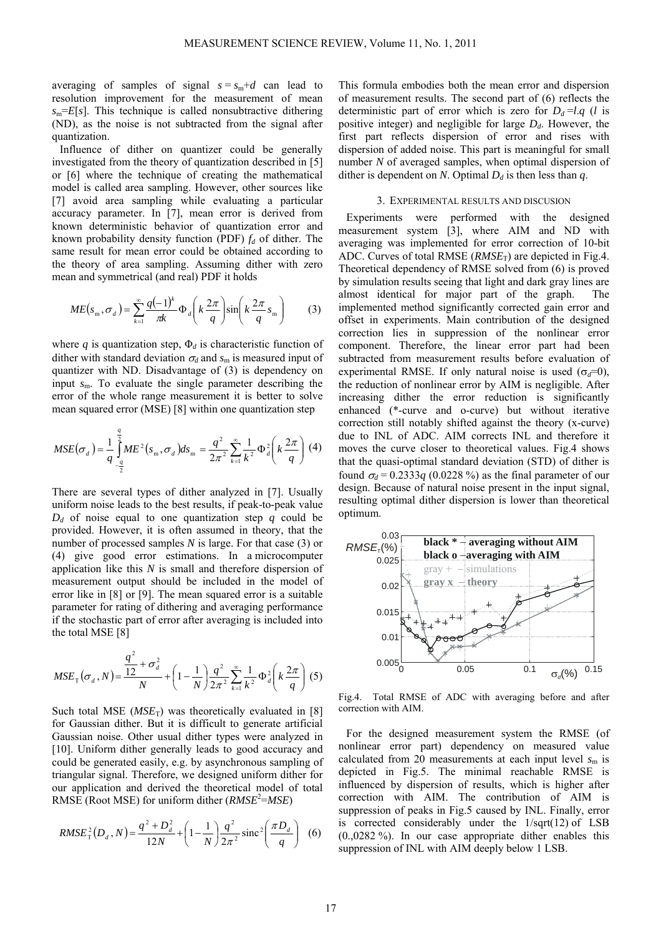averaging of samples of signal  $s = s_m + d$  can lead to resolution improvement for the measurement of mean  $s_m=E[s]$ . This technique is called nonsubtractive dithering (ND), as the noise is not subtracted from the signal after quantization.

Influence of dither on quantizer could be generally investigated from the theory of quantization described in [5] or [6] where the technique of creating the mathematical model is called area sampling. However, other sources like [7] avoid area sampling while evaluating a particular accuracy parameter. In [7], mean error is derived from known deterministic behavior of quantization error and known probability density function (PDF)  $f_d$  of dither. The same result for mean error could be obtained according to the theory of area sampling. Assuming dither with zero mean and symmetrical (and real) PDF it holds

$$
ME(s_{\rm m}, \sigma_d) = \sum_{k=1}^{\infty} \frac{q(-1)^k}{\pi k} \Phi_d\left(k \frac{2\pi}{q}\right) \sin\left(k \frac{2\pi}{q} s_{\rm m}\right) \tag{3}
$$

where  $q$  is quantization step,  $\Phi_d$  is characteristic function of dither with standard deviation  $\sigma_d$  and  $s_m$  is measured input of quantizer with ND. Disadvantage of (3) is dependency on input *s*<sub>m</sub>. To evaluate the single parameter describing the error of the whole range measurement it is better to solve mean squared error (MSE) [8] within one quantization step

$$
MSE(\sigma_d) = \frac{1}{q} \int_{-\frac{q}{2}}^{\frac{q}{2}} ME^2(s_m, \sigma_d) ds_m = \frac{q^2}{2\pi^2} \sum_{k=1}^{\infty} \frac{1}{k^2} \Phi_d^2 \left(k \frac{2\pi}{q}\right) (4)
$$

There are several types of dither analyzed in [7]. Usually uniform noise leads to the best results, if peak-to-peak value  $D_d$  of noise equal to one quantization step *q* could be provided. However, it is often assumed in theory, that the number of processed samples *N* is large. For that case (3) or (4) give good error estimations. In a microcomputer application like this *N* is small and therefore dispersion of measurement output should be included in the model of error like in [8] or [9]. The mean squared error is a suitable parameter for rating of dithering and averaging performance if the stochastic part of error after averaging is included into the total MSE [8]

$$
MSE_{\text{T}}(\sigma_d, N) = \frac{\frac{q^2}{12} + \sigma_d^2}{N} + \left(1 - \frac{1}{N}\right) \frac{q^2}{2\pi^2} \sum_{k=1}^{\infty} \frac{1}{k^2} \Phi_d^2 \left(k \frac{2\pi}{q}\right) (5)
$$

Such total MSE  $(MSE_T)$  was theoretically evaluated in [8] for Gaussian dither. But it is difficult to generate artificial Gaussian noise. Other usual dither types were analyzed in [10]. Uniform dither generally leads to good accuracy and could be generated easily, e.g. by asynchronous sampling of triangular signal. Therefore, we designed uniform dither for our application and derived the theoretical model of total RMSE (Root MSE) for uniform dither (*RMSE*<sup>2</sup> =*MSE*)

$$
RMSE_{\rm T}^2(D_d, N) = \frac{q^2 + D_d^2}{12N} + \left(1 - \frac{1}{N}\right)\frac{q^2}{2\pi^2} \operatorname{sinc}^2\left(\frac{\pi D_d}{q}\right) \tag{6}
$$

This formula embodies both the mean error and dispersion of measurement results. The second part of  $(6)$  reflects the deterministic part of error which is zero for  $D_d = l \cdot q$  (*l* is positive integer) and negligible for large  $D_d$ . However, the first part reflects dispersion of error and rises with dispersion of added noise. This part is meaningful for small number *N* of averaged samples, when optimal dispersion of dither is dependent on *N*. Optimal  $D_d$  is then less than *q*.

# 3. EXPERIMENTAL RESULTS AND DISCUSION

ned easurement system [3], where AIM and ND with avera ging was implemented for error correction of 10-bit Experiments were performed with the desig measurement system [3], where AIM and ND ADC. Curves of total RMSE (*RMSE*<sub>T</sub>) are depicted in Fig.4. Theoretical dependency of RMSE solved from (6) is proved by simulation results seeing that light and dark gray lines are almost identical for major part of the graph. The implemented method significantly corrected gain error and offset in experiments. Main contribution of the designed correction lies in suppression of the nonlinear error component. Therefore, the linear error part had been subtracted from measurement results before evaluation of experimental RMSE. If only natural noise is used  $(\sigma_d=0)$ , the reduction of nonlinear error by AIM is negligible. After increasing dither the error reduction is significantly enhanced (\*-curve and o-curve) but without iterative correction still notably shifted against the theory (x-curve) due to INL of ADC. AIM corrects INL and therefore it moves the curve closer to theoretical values. Fig.4 shows that the quasi-optimal standard deviation (STD) of dither is found  $\sigma_d$  = 0.2333*q* (0.0228 %) as the final parameter of our design. Because of natural noise present in the input signal, resulting optimal dither dispersion is lower than theoretical optimum.



Fig.4. Total RMSE of ADC with averaging before and after correction with AIM.

nonlinear error part) dependency on measured value calculated from 20 measurements at each input level  $s<sub>m</sub>$  is For the designed measurement system the RMSE (of depicted in Fig.5. The minimal reachable RMSE is influenced by dispersion of results, which is higher after correction with AIM. The contribution of AIM is suppression of peaks in Fig.5 caused by INL. Finally, error is corrected considerably under the  $1/\text{sqrt}(12)$  of LSB (0.,0282 %). In our case appropriate dither enables this suppression of INL with AIM deeply below 1 LSB.